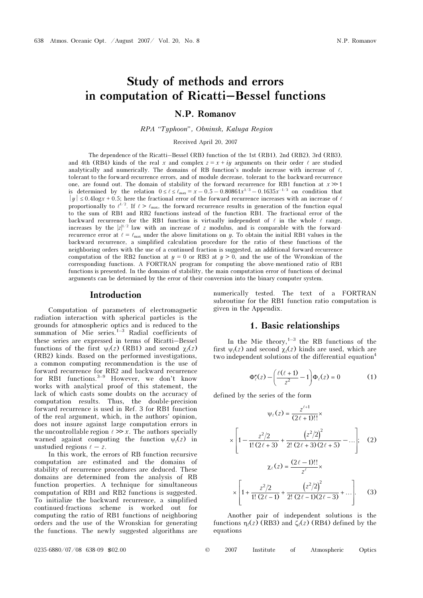# Study of methods and errors in computation of Ricatti–Bessel functions

### N.P. Romanov

re "Typhoon", Sound, Canuga Region

Received April 20, 2007

The dependence of the Ricatti–Bessel (RB) function of the 1st (RB1), 2nd (RB2), 3rd (RB3), and 4th (RB4) kinds of the real x and complex  $z = x + iy$  arguments on their order  $\ell$  are studied analytically and numerically. The domains of RB function's module increase with increase of  $\ell$ , tolerant to the forward-recurrence errors, and of module decrease, tolerant to the backward-recurrence one, are found out. The domain of stability of the forward recurrence for RB1 function at  $x \gg 1$ is determined by the relation  $0 \le l \le \ell_{\text{max}} = x - 0.5 - 0.80861x^{1/3} - 0.1635x^{-1/3}$  on condition that  $|y| \leq 0.4 \log x + 0.5$ ; here the fractional error of the forward recurrence increases with an increase of  $\ell$ proportionally to  $\ell^{1/2}$ . If  $\ell > \ell_{\text{max}}$ , the forward recurrence results in generation of the function equal to the sum of RB1 and RB2 functions instead of the function RB1. The fractional error of the backward recurrence for the RB1 function is virtually independent of  $\ell$  in the whole  $\ell$  range, increases by the  $|z|^{1/2}$  law with an increase of z modulus, and is comparable with the forwardrecurrence error at  $\ell = \ell_{\text{max}}$  under the above limitations on y. To obtain the initial RB1 values in the backward recurrence, a simplified calculation procedure for the ratio of these functions of the neighboring orders with the use of a continued fraction is suggested, an additional forward-recurrence computation of the RB2 function at  $y = 0$  or RB3 at  $y > 0$ , and the use of the Wronskian of the corresponding functions. A FORTRAN program for computing the above-mentioned ratio of RB1 functions is presented. In the domains of stability, the main computation error of functions of decimal arguments can be determined by the error of their conversion into the binary computer system.

#### Introduction

Computation of parameters of electromagnetic radiation interaction with spherical particles is the grounds for atmospheric optics and is reduced to the summation of Mie series.1–3 Radial coefficients of these series are expressed in terms of Ricatti–Bessel functions of the first  $\psi_{\ell}(z)$  (RB1) and second  $\chi_{\ell}(z)$ <br>(RB2) kinds. Based on the performed investigations (RB2) kinds. Based on the performed investigations, a common computing recommendation is the use of forward recurrence for RB2 and backward recurrence for RB1 functions.3–9 However, we don't know works with analytical proof of this statement, the lack of which casts some doubts on the accuracy of computation results. Thus, the double-precision forward recurrence is used in Ref. 3 for RB1 function of the real argument, which, in the authors' opinion, does not insure against large computation errors in the uncontrollable region  $\ell \gg x$ . The authors specially<br>warned against computing the function  $y(\ell z)$  in warned against computing the function  $\psi_{\ell}(z)$  in unstudied regions  $\ell - z$ unstudied regions  $\ell - z$ .<br>In this work, the er-

In this work, the errors of RB function recursive computation are estimated and the domains of stability of recurrence procedures are deduced. These domains are determined from the analysis of RB function properties. A technique for simultaneous computation of RB1 and RB2 functions is suggested. To initialize the backward recurrence, a simplified continued-fractions scheme is worked out for computing the ratio of RB1 functions of neighboring orders and the use of the Wronskian for generating the functions. The newly suggested algorithms are

numerically tested. The text of a FORTRAN subroutine for the RB1 function ratio computation is given in the Appendix.

### 1. Basic relationships

In the Mie theory, $1-3$  the RB functions of the first  $\psi_{\ell}(z)$  and second  $\chi_{\ell}(z)$  kinds are used, which are two independent solutions of the differential equation<sup>4</sup> two independent solutions of the differential equation<sup>4</sup>

$$
\Phi''_{\ell}(z) - \left(\frac{\ell(\ell+1)}{z^2} - 1\right) \Phi_{\ell}(z) = 0 \tag{1}
$$

defined by the series of the form

$$
\psi_{\ell}(z) = \frac{z^{\ell+1}}{(2\ell+1)!!} \times \left[1 - \frac{z^2/2}{1! (2\ell+3)} + \frac{(z^2/2)^2}{2! (2\ell+3) (2\ell+5)} - \dots \right]; \quad (2)
$$

$$
\chi_{\ell}(z) = \frac{(2\ell-1)!!}{z^{\ell}} \times \left[1 + \frac{z^2/2}{1! (2\ell-1)} + \frac{(z^2/2)^2}{2! (2\ell-1) (2\ell-3)} + \dots \right]. \quad (3)
$$

Another pair of independent solutions is the functions  $\eta_{\ell}(z)$  (RB3) and  $\zeta_{\ell}(z)$  (RB4) defined by the equations equations

0235-6880/07/08 638-09 \$02.00 © 2007 Institute of Atmospheric Optics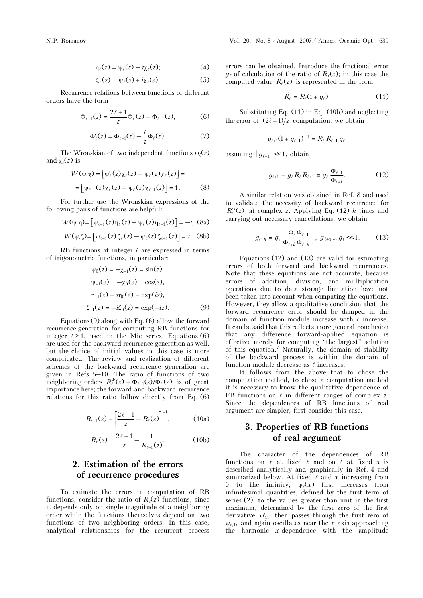$$
\eta_{\ell}(z) = \psi_{\ell}(z) - i\chi_{\ell}(z); \tag{4}
$$

$$
\zeta_{\ell}(z) = \psi_{\ell}(z) + i\chi_{\ell}(z). \tag{5}
$$

Recurrence relations between functions of different orders have the form

$$
\Phi_{\ell+1}(z) = \frac{2\ell+1}{z} \Phi_{\ell}(z) - \Phi_{\ell-1}(z),
$$
\n(6)\n
$$
\Phi_{\ell}'(z) = \Phi_{\ell-1}(z) - \frac{\ell}{z} \Phi_{\ell}(z).
$$
\n(7)

$$
\Phi'_{\ell}(z) = \Phi_{\ell-1}(z) - \frac{\ell}{z} \Phi_{\ell}(z). \tag{7}
$$

The Wronskian of two independent functions  $\psi_{\ell}(z)$ and  $\chi_{\ell}(z)$  is

$$
W(\psi, \chi) = [\psi_{\ell}'(z)\chi_{\ell}(z) - \psi_{\ell}(z)\chi_{\ell}'(z)] =
$$
  
= 
$$
[\psi_{\ell-1}(z)\chi_{\ell}(z) - \psi_{\ell}(z)\chi_{\ell-1}(z)] = 1.
$$
 (8)

For further use the Wronskian expressions of the<br>wing pairs of functions are helpful:<br> $W(\psi, \eta) = \left[ \psi_{\ell-1}(z) \eta_{\ell}(z) - \psi_{\ell}(z) \eta_{\ell-1}(z) \right] = -i$ , (8a) following pairs of functions are helpful:

$$
W(\psi, \eta) = \left[\psi_{\ell-1}(z)\eta_{\ell}(z) - \psi_{\ell}(z)\eta_{\ell-1}(z)\right] = -i, \text{ (8a)}
$$
  

$$
W(\psi, \zeta) = \left[\psi_{\ell-1}(z)\zeta_{\ell}(z) - \psi_{\ell}(z)\zeta_{\ell-1}(z)\right] = i. \text{ (8b)}
$$

$$
W(\psi,\zeta) = \left[\psi_{\ell-1}(z)\,\zeta_{\ell}(z) - \psi_{\ell}(z)\,\zeta_{\ell-1}(z)\right] = i. \tag{8b}
$$

RB functions at integer  $\ell$  are expressed in terms of trigonometric functions, in particular: ons at integer  $\ell$  are exp<br>c functions, in particula<br> $\psi_0(z) = -\chi_{-1}(z) = \sin(z)$ ,

tric functions, in particular:  
\n
$$
\psi_0(z) = -\chi_{-1}(z) = \sin(z),
$$
  
\n $\psi_{-1}(z) = -\chi_0(z) = \cos(z),$   
\n $\eta_{-1}(z) = i\eta_0(z) = \exp(iz),$   
\n $\zeta_{-1}(z) = -i\zeta_0(z) = \exp(-iz).$  (9)

Equations (9) along with Eq. (6) allow the forward recurrence generation for computing RB functions for integer  $\ell \geq 1$ , used in the Mie series. Equations (6) are used for the backward recurrence generation as well, but the choice of initial values in this case is more complicated. The review and realization of different schemes of the backward recurrence generation are given in Refs. 5–10. The ratio of functions of two neighboring orders  $R_{\ell}^{\Phi}(z) = \Phi_{\ell-1}(z)/\Phi_{\ell}(z)$  is of great importance here; the forward and backward recurrence relations for this ratio follow directly from Eq. (6)

$$
R_{\ell+1}(z) = \left[\frac{2\ell+1}{z} - R_{\ell}(z)\right]^{-1}, \tag{10a}
$$

$$
R_{\ell}(z) = \frac{2\ell + 1}{z} - \frac{1}{R_{\ell+1}(z)}.
$$
 (10b)

## 2. Estimation of the errors of recurrence procedures

To estimate the errors in computation of RB functions, consider the ratio of  $R_{\ell}(z)$  functions, since<br>it depends only on single magnitude of a neighboring it depends only on single magnitude of a neighboring order while the functions themselves depend on two functions of two neighboring orders. In this case, analytical relationships for the recurrent process

errors can be obtained. Introduce the fractional error  $g_{\ell}$  of calculation of the ratio of  $R_{\ell}(z)$ ; in this case the computed value  $\tilde{R}_{\ell}(z)$  is represented in the form  $g_{\ell}$  of calculation of the ratio of  $R_{\ell}(z)$ ; in this case<br>computed value  $\bar{R}_{\ell}(z)$  is represented in the form

$$
\breve{R}_{\ell} = R_{\ell}(1 + g_{\ell}). \tag{11}
$$

Substituting Eq. (11) in Eq. (10b) and neglecting the error of  $(2\ell + 1)/z$  computation, we obtain

$$
g_{\ell+1}(1+g_{\ell+1})^{-1}=R_{\ell} R_{\ell+1} g_{\ell},
$$

assuming  $|g_{\ell+1}| \ll 1$ , obtain

$$
g_{\ell+1} = g_{\ell} R_{\ell} R_{\ell+1} \equiv g_{\ell} \frac{\Phi_{\ell-1}}{\Phi_{\ell+1}}.
$$
 (12)

A similar relation was obtained in Ref. 8 and used to validate the necessity of backward recurrence for  $R_{\ell}^{\nu}(z)$  at complex z. Applying Eq. (12) k times and corrying out personal concellations, we obtain carrying out necessary cancellations, we obtain

$$
g_{\ell+k} = g_{\ell} \frac{\Phi_{\ell} \Phi_{\ell-1}}{\Phi_{\ell+k} \Phi_{\ell+k-1}}, \ g_{\ell+1} \dots g_{\ell} \ll 1. \tag{13}
$$

Equations (12) and (13) are valid for estimating errors of both forward and backward recurrences. Note that these equations are not accurate, because errors of addition, division, and multiplication operations due to data storage limitation have not been taken into account when computing the equations. However, they allow a qualitative conclusion that the forward recurrence error should be damped in the domain of function module increase with  $\ell$  increase. It can be said that this reflects more general conclusion that any difference forward-applied equation is effective merely for computing "the largest" solution of this equation.<sup>7</sup> Naturally, the domain of stability of the backward process is within the domain of function module decrease as  $\ell$  increases.

It follows from the above that to chose the computation method, to chose a computation method it is necessary to know the qualitative dependence of FB functions on  $\ell$  in different ranges of complex z.<br>Since the dependences of RB functions of real Since the dependences of RB functions of real argument are simpler, first consider this case.

## $\int_{0}^{1}$  real argument of real argument

The character of the dependences of RB functions on x at fixed  $\ell$  and on  $\ell$  at fixed x is described analytically and graphically in Ref. 4 and described analytically and graphically in Ref. 4 and summarized below. At fixed  $\ell$  and x increasing from<br>0 to the infinity  $y(x)$  first increases from 0 to the infinity,  $\psi_{\ell}(x)$  first increases from infinitesimal quantities defined by the first term of infinitesimal quantities, defined by the first term of series (2), to the values greater than unit in the first maximum, determined by the first zero of the first derivative  $\psi'_{\ell,1}$ , then passes through the first zero of  $\Psi_{\ell,1}$ , and again oscillates near the x axis approaching<br>the harmonic x-dependence with the applitude the harmonic  $x$ -dependence with the amplitude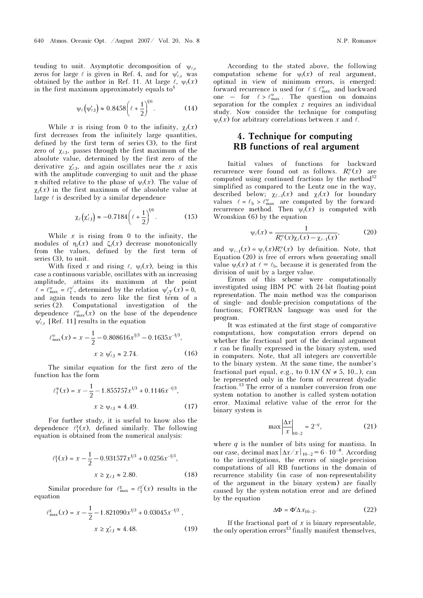tending to unit. Asymptotic decomposition of  $\psi_{\ell,s}$ zeros for large  $\ell$  is given in Ref. 4, and for  $\psi_{\ell,s}'$  was obtained by the author in Ref. 11. At large  $\ell$ ,  $\Psi_{\ell}(x)$ <br>in the first maximum approximately equals to<sup>4</sup> in the first maximum approximately equals to<sup>4</sup>

$$
\psi_{\ell}(\psi_{\ell,1}') \approx 0.8458 \bigg(\ell + \frac{1}{2}\bigg)^{1/6}.
$$
 (14)

While x is rising from 0 to the infinity,  $\chi_l(x)$ <br>decreases from the infinitely large quantities first decreases from the infinitely large quantities, defined by the first term of series (3), to the first zero of  $\chi_{\ell,1}$ , passes through the first maximum of the absolute value, determined by the first zero of the derivative  $\chi'_{\ell,1}$ , and again oscillates near the x axis with the annitude converging to unit and the phase with the amplitude converging to unit and the phase π-shifted relative to the phase of  $\psi_l(x)$ . The value of  $\chi(x)$  in the first maximum of the absolute value at  $\chi_{\ell}(x)$  in the first maximum of the absolute value at large  $\ell$  is described by a similar dependence large  $\ell$  is described by a similar dependence

$$
\chi_{\ell}\!\left(\chi_{\ell,1}'\right) \approx -0.7184 \bigg(\ell + \frac{1}{2}\bigg)^{\!\!1/6}.\tag{15}
$$

While  $x$  is rising from 0 to the infinity, the modules of  $\eta_{\ell}(x)$  and  $\zeta_{\ell}(x)$  decrease monotonically<br>from the values defined by the first term of from the values, defined by the first term of series (3), to unit.

With fixed x and rising  $\ell$ ,  $\psi_{\ell}(x)$ , being in this case a continuous variable, oscillates with an increasing amplitude, attains its maximum at the point maximum at the point<br>  $\ell = \ell_{\text{max}}^{\psi} = \ell_1^{\psi'}$ , determined by the relation  $\psi'_{\ell_2^{\psi}}(x) = 0$ , and again tends to zero like the first term of a series (2). Computational investigation of the dependence  $\ell_{\max}^{\psi}(\bar{x})$  on the base of the dependence  $\psi'_{\ell,s}$  [Ref. 11] results in the equation

$$
\ell_{\max}^{\psi}(x) = x - \frac{1}{2} - 0.808616x^{\frac{1}{3}} - 0.1635x^{-\frac{1}{3}},
$$
\n
$$
x \ge \psi_{\ell,1}' \approx 2.74. \tag{16}
$$

The similar equation for the first zero of the function has the form

$$
\ell_1^{\Psi}(x) = x - \frac{1}{2} - 1.855757x^{1/3} + 0.1146x^{-1/3},
$$
  

$$
x \ge \Psi_{\ell,1} \approx 4.49.
$$
 (17)

For further study, it is useful to know also the dependence  $\ell_1^{\chi}(x)$ , defined similarly. The following equation is obtained from the numerical analysis:

$$
\ell_1^{\chi}(x) = x - \frac{1}{2} - 0.931577x^{1/3} + 0.0256x^{-1/3},
$$
  

$$
x \ge \chi_{\ell,1} \approx 2.80.
$$
 (18)

Similar procedure for  $\ell_{\max}^{\chi} = \ell_1^{\chi'}(x)$  results in the equation

$$
\ell_{\max}^{\chi}(x) = x - \frac{1}{2} - 1.821090x^{1/3} + 0.03045x^{-1/3},
$$
  

$$
x \ge \chi'_{\ell,1} \approx 4.48.
$$
 (19)

According to the stated above, the following computation scheme for  $\psi(x)$  of real argument, optimal in view of minimum errors, is emerged: forward recurrence is used for  $\ell \leq \ell_{\max}^{\psi}$  and backward one – for  $\ell > \ell_{\max}^{\psi}$ . The question on domains separation for the complex z requires an individual study. Now consider the technique for computing

# 4. Technique for computing<br>RB functions of real argument RB functions of real argument

 $\psi_{\ell}(x)$  for arbitrary correlations between x and  $\ell$ .

Initial values of functions for backward recurrence were found out as follows.  $R_{\ell}^{\psi}(x)$  are computed using continued fractions by the method<sup>12</sup> simplified as compared to the Lentz one in the way, described below;  $\chi_{\ell-1}(x)$  and  $\chi_{\ell}(x)$  for boundary values  $\ell = \ell_{\rm b} > \ell_{\rm max}^{\rm w}$  are computed by the forwardrecurrence method. Then  $\psi(x)$  is computed with Wronskian (6) by the equation

$$
\psi_{\ell}(x) = \frac{1}{R_{\ell}^{\psi}(x)\chi_{\ell}(x) - \chi_{\ell-1}(x)},
$$
 (20)

and  $\psi_{\ell-1}(x) = \psi_{\ell}(x) R_{\ell}^{\psi}(x)$  by definition. Note, that Equation (20) is free of errors when generating small value  $\psi_{\ell}(x)$  at  $\ell = \ell_{\rm b}$ , because it is generated from the division of unit by a larger value.

Errors of this scheme were computationally investigated using IBM PC with 24-bit floating-point representation. The main method was the comparison of single- and double-precision computations of the functions; FORTRAN language was used for the program.

It was estimated at the first stage of comparative computations, how computation errors depend on whether the fractional part of the decimal argument  $x$  can be finally expressed in the binary system, used in computers. Note, that all integers are convertible to the binary system. At the same time, the number's fractional part equal, e.g., to  $0.1N$  ( $N \neq 5$ ,  $10...$ ), can be represented only in the form of recurrent dyadic fraction.<sup>13</sup> The error of a number conversion from one system notation to another is called system-notation error. Maximal relative value of the error for the binary system is

$$
\max \left| \frac{\Delta x}{x} \right|_{10-2} = 2^{-q},\tag{21}
$$

where  $q$  is the number of bits using for mantissa. In our case, decimal max  $|\Delta x/x|_{10-2} = 6 \cdot 10^{-8}$ . According to the investigations, the errors of single-precision computations of all RB functions in the domain of recurrence stability (in case of non-representability of the argument in the binary system) are finally caused by the system-notation error and are defined<br>by the equation<br> $\Delta \Phi = \Phi' \Delta x_{10-2}$ . (22) by the equation

$$
\Delta \Phi = \Phi' \Delta x_{10-2}.
$$
 (22)

If the fractional part of  $x$  is binary representable, the only operation errors<sup>13</sup> finally manifest themselves,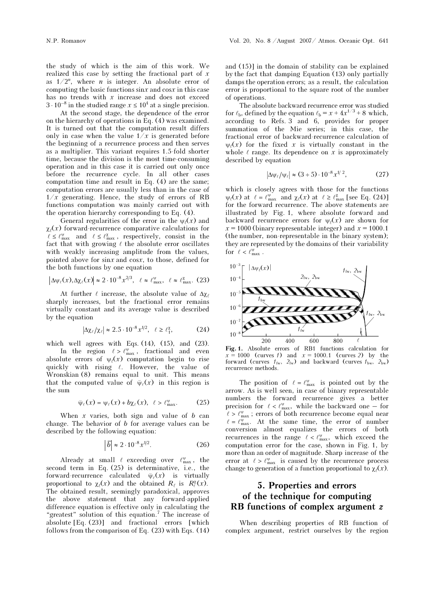the study of which is the aim of this work. We realized this case by setting the fractional part of  $x$ as  $1/2^n$ , where *n* is integer. An absolute error of computing the basic functions  $\sin x$  and  $\cos x$  in this case has no trends with  $x$  increase and does not exceed  $3 \cdot 10^{-8}$  in the studied range  $x \le 10^4$  at a single precision.

 At the second stage, the dependence of the error on the hierarchy of operations in Eq. (4) was examined. It is turned out that the computation result differs only in case when the value  $1/x$  is generated before the beginning of a recurrence process and then serves as a multiplier. This variant requires 1.5-fold shorter time, because the division is the most time-consuming operation and in this case it is carried out only once before the recurrence cycle. In all other cases computation time and result in Eq. (4) are the same; computation errors are usually less than in the case of  $1/x$  generating. Hence, the study of errors of RB functions computation was mainly carried out with the operation hierarchy corresponding to Eq. (4).

General regularities of the error in the  $\psi_{\ell}(x)$  and  $\chi$ <sub>(</sub> $\chi$ ) forward-recurrence comparative calculations for  $\ell \leq \ell_{\max}^{\nu}$  and  $\ell \leq \ell_{\max}^{\chi}$ , respectively, consist in the fact that with growing  $\ell$  the absolute error oscillates with weakly increasing amplitude from the values, pointed above for sinx and cosx, to those, defined for the both functions by one equation 1th weakly increasing ampointed above for sinx and consider the both functions by one equal  $\Delta \psi_{\ell}(x), \Delta \chi_{\ell}(x) \approx 2 \cdot 10^{-8} x^{2/3}$ ,

$$
\left|\Delta\psi_\ell(x),\Delta\chi_\ell(x)\right|\approx 2\cdot10^{-8} \,x^{2/3},\ \ \ell\approx\ell^\psi_\text{max},\ \ \ell\approx\ell^\chi_\text{max}. \eqno(23)
$$

At further  $\ell$  increase, the absolute value of  $\Delta \chi_{\ell}$ sharply increases, but the fractional error remains virtually constant and its average value is described by the equation

$$
\left|\Delta\chi_{\ell}/\chi_{\ell}\right| \approx 2.5 \cdot 10^{-8} x^{1/2}, \quad \ell \ge \ell_1^{\chi},\tag{24}
$$

which well agrees with Eqs.  $(14)$ ,  $(15)$ , and  $(23)$ .

In the region  $\ell > \ell_{\max}^{\psi}$ , fractional and even absolute errors of  $\psi$ <sub>l</sub> $(x)$  computation begin to rise quickly with rising  $\ell$ . However, the value of Wronskian (8) remains equal to unit. This means wronskian (o) remains equal to unit. This means<br>that the computed value of  $\bar{\psi}_{\ell}(x)$  in this region is the sum

$$
\tilde{\psi}_{\ell}(x) = \psi_{\ell}(x) + b\chi_{\ell}(x), \quad \ell > \ell_{\max}^{\psi}.
$$
 (25)

When  $x$  varies, both sign and value of  $b$  can change. The behavior of  $b$  for average values can be described by the following equation: 6 5. both sign and value of b can<br>or of b for average values can be<br>lowing equation:<br> $\overline{b}| \approx 2 \cdot 10^{-8} x^{1/2}$ . (26)

$$
\left|\overline{b}\right| \approx 2 \cdot 10^{-8} x^{1/2}.\tag{26}
$$

Already at small  $\ell$  exceeding over  $\ell_{\text{max}}^{\psi}$ , the second term in Eq. (25) is determinative, i.e., the second term in Eq. (23) is determinative, i.e., the<br>forward-recurrence calculated  $\bar{\psi}_{\ell}(x)$  is virtually proportional to  $\chi(x)$  and the obtained  $R_{\ell}$  is  $R_{\ell}^{\chi}(x)$ . The obtained result, seemingly paradoxical, approves the above statement that any forward-applied difference equation is effective only in calculating the "greatest" solution of this equation.<sup>7</sup> The increase of absolute [Eq. (23)] and fractional errors [which follows from the comparison of Eq. (23) with Eqs. (14)

and (15)] in the domain of stability can be explained by the fact that damping Equation (13) only partially damps the operation errors; as a result, the calculation error is proportional to the square root of the number of operations.

The absolute backward recurrence error was studied for  $\ell_{\rm b}$ , defined by the equation  $\ell_{\rm b} = x + 4x^{1/3} + 8$  which, according to Refs. 3 and 6, provides for proper summation of the Mie series; in this case, the fractional error of backward-recurrence calculation of  $\psi$ (x) for the fixed x is virtually constant in the whole  $\ell$  range. Its dependence on x is approximately<br>described by equation<br> $|\Delta \psi_{\ell}/\psi_{\ell}| \approx (3 \div 5) \cdot 10^{-8} x^{1/2}$ , (27) described by equation

$$
|\Delta \psi_{\ell}/\psi_{\ell}| \approx (3 \div 5) \cdot 10^{-8} x^{1/2}, \tag{27}
$$

which is closely agrees with those for the functions  $\psi_{\ell}(x)$  at  $\ell = \ell_{\max}^{\psi}$  and  $\chi_{\ell}(x)$  at  $\ell \geq \ell_{\max}^{\chi}$  [see Eq. (24)] for the forward recurrence. The above statements are illustrated by Fig. 1, where absolute forward and backward recurrence errors for  $\psi_{\ell}(x)$  are shown for  $x = 1000$  (binary representable integer) and  $x = 1000.1$ (the number, non-representable in the binary system); they are represented by the domains of their variability for  $\ell < \ell_{\text{max}}^{\psi}$ .



**Fig. 1.** Absolute errors of RB1 functions calculation for  $x = 1000$  (curves 1) and  $x = 1000.1$  (curves 2) by the forward (curves  $f_{\text{fw}}$ ,  $2_{\text{fw}}$ ) and backward (curves  $f_{\text{bw}}$ ,  $2_{\text{bw}}$ ) recurrence methods.

The position of  $\ell = \ell_{\text{max}}^{\psi}$  is pointed out by the arrow. As is well seen, in case of binary representable numbers the forward recurrence gives a better precision for  $\ell < \ell_{\max}^{\psi}$ , while the backward one – for  $\ell > \ell_{\text{max}}^{\psi}$ ; errors of both recurrence become equal near  $\ell = \ell_{\rm max}^{\psi}$  . At the same time, the error of number conversion almost equalizes the errors of both recurrences in the range  $\ell < \ell_{\rm max}^{\psi}$ , which exceed the computation error for the case, shown in Fig. 1, by more than an order of magnitude. Sharp increase of the error at  $\ell > \ell_{\text{max}}^{\psi}$  is caused by the recurrence process change to generation of a function proportional to  $\chi$ <sub>(</sub> $(x)$ ).

## 5. Properties and errors of the technique for computing RB functions of complex argument z

When describing properties of RB function of complex argument, restrict ourselves by the region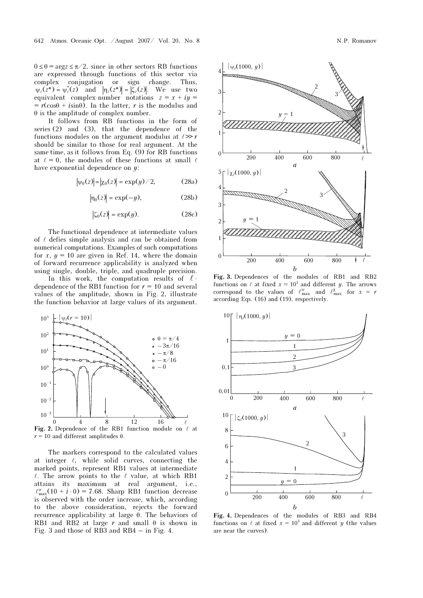$0 \le \theta = \arg z \le \pi/2$ , since in other sectors RB functions are expressed through functions of this sector via complex conjugation or sign change. Thus, \* $\psi_{\ell}(z^*) = \psi_{\ell}^*(z)$  and  $|\eta_{\ell}(z^*)| = |\zeta_{\ell}(z)|$ . We use two equivalent complex-number notations  $z = x + iy =$  $= r(\cos\theta + i\sin\theta)$ . In the latter, r is the modulus and  $\theta$  is the amplitude of complex number.

It follows from RB functions in the form of series (2) and (3), that the dependence of the functions modules on the argument modulus at  $\ell \gg r$ should be similar to those for real argument. At the same time, as it follows from Eq. (9) for RB functions at  $\ell = 0$ , the modules of these functions at small  $\ell$ have exponential dependence on  $y$ :

$$
|\psi_0(z)| = |\chi_0(z)| = \exp(y)/2,
$$
 (28a)

$$
|\eta_0(z)| = \exp(-y),\tag{28b}
$$

$$
|\zeta_0(z)| = \exp(y). \tag{28c}
$$

The functional dependence at intermediate values of  $\ell$  defies simple analysis and can be obtained from numerical computations. Examples of such computations for  $x, y = 10$  are given in Ref. 14, where the domain of forward recurrence applicability is analyzed when using single, double, triple, and quadruple precision.

In this work, the computation results of  $\ell$ dependence of the RB1 function for  $r = 10$  and several values of the amplitude, shown in Fig. 2, illustrate the function behavior at large values of its argument.



Fig. 2. Dependence of the RB1 function module on  $\ell$  at  $r = 10$  and different amplitudes  $\rho$  $r = 10$  and different amplitudes  $\theta$ .

The markers correspond to the calculated values at integer  $\ell$ , while solid curves, connecting the marked points, represent RB1 values at intermediate  $\ell$ . The arrow points to the  $\ell$  value, at which RB1 attains its maximum at real argument, i.e.,  $\ell_{\text{max}}^{\psi}(10 + i \cdot 0) = 7.68$ . Sharp RB1 function decrease is observed with the order increase, which, according to the above consideration, rejects the forward recurrence applicability at large θ. The behaviors of RB1 and RB2 at large  $r$  and small  $\theta$  is shown in Fig. 3 and those of RB3 and RB4 – in Fig. 4.



Fig. 3. Dependences of the modules of RB1 and RB2 functions on  $\ell$  at fixed  $x = 10^3$  and different y. The arrows correspond to the values of  $\ell_{\max}^{\psi}$  and  $\ell_{\max}^{\chi}$  for  $x = r$ according Eqs. (16) and (19), respectively.



Fig. 4. Dependences of the modules of RB3 and RB4 functions on  $\ell$  at fixed  $x = 10^3$  and different y (the values are near the curves).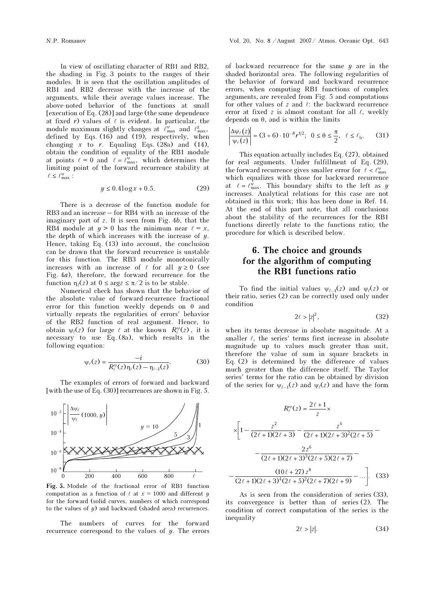In view of oscillating character of RB1 and RB2, the shading in Fig. 3 points to the ranges of their modules. It is seen that the oscillation amplitudes of RB1 and RB2 decrease with the increase of the arguments, while their average values increase. The above-noted behavior of the functions at small [execution of Eq. (28)] and large (the same dependence at fixed  $r$ ) values of  $\ell$  is evident. In particular, the module maximum slightly changes at  $\ell_{\text{max}}^{\psi}$  and  $\ell_{\text{max}}^{\chi}$ , defined by Eqs. (16) and (19), respectively, when changing x to r. Equaling Eqs. (28a) and (14), obtain the condition of equality of the RB1 module botain the condition of equality of the RB1 module<br>at points  $\ell = 0$  and  $\ell = \ell_{\text{max}}^{\nu}$ , which determines the limiting point of the forward recurrence stability at  $\ell \leq \ell_{\text{max}}^{\psi}$ :

$$
y \le 0.4\log x + 0.5. \tag{29}
$$

There is a decrease of the function module for RB3 and an increase – for RB4 with an increase of the imaginary part of z. It is seen from Fig. 4b, that the RB4 module at  $y > 0$  has the minimum near  $\ell = x$ , the depth of which increases with the increase of  $y$ . Hence, taking Eq. (13) into account, the conclusion can be drawn that the forward recurrence is unstable for this function. The RB3 module monotonically increases with an increase of  $\ell$  for all  $y \ge 0$  (see Fig. 4a), therefore, the forward recurrence for the function  $\eta_{\ell}(z)$  at  $0 \le \arg z \le \pi/2$  is to be stable.

Numerical check has shown that the behavior of the absolute value of forward-recurrence fractional error for this function weekly depends on  $\theta$  and virtually repeats the regularities of errors' behavior of the RB2 function of real argument. Hence, to obtain  $\psi_{\ell}(z)$  for large  $\ell$  at the known  $R_{\ell}^{\psi}(z)$ , it is necessary to use Eq. (8a), which results in the following equation:

$$
\psi_{\ell}(z) = \frac{-i}{R_{\ell}^{\psi}(z)\eta_{\ell}(z) - \eta_{\ell-1}(z)}.
$$
 (30)

The examples of errors of forward and backward [with the use of Eq. (30)] recurrences are shown in Fig. 5.



Fig. 5. Module of the fractional error of RB1 function computation as a function of  $\ell$  at  $x = 1000$  and different y for the forward (solid curves, numbers of which correspond to the values of  $y$ ) and backward (shaded area) recurrences.

The numbers of curves for the forward recurrence correspond to the values of  $y$ . The errors of backward recurrence for the same  $y$  are in the shaded horizontal area. The following regularities of the behavior of forward and backward recurrence errors, when computing RB1 functions of complex arguments, are revealed from Fig. 5 and computations for other values of  $z$  and  $\ell$ : the backward recurrence error at fixed  $z$  is almost constant for all  $\ell$ , weekly depends on θ, and is within the limits

$$
\left| \frac{\Delta \psi_{\ell}(z)}{\psi_{\ell}(z)} \right| = (3 \div 6) \cdot 10^{-8} r^{1/2}; \ \ 0 \le \theta \le \frac{\pi}{2}, \ \ \ell \le \ell_{\rm b}. \tag{31}
$$

This equation actually includes Eq. (27), obtained for real arguments. Under fulfillment of Eq. (29), the forward recurrence gives smaller error for  $\ell < \ell_{\max}^{\psi}$ which equalizes with those for backward recurrence which equalizes with those for backward recurrence<br>at  $\ell = \ell_{\text{max}}^{\psi}$ . This boundary shifts to the left as y increases. Analytical relations for this case are not obtained in this work; this has been done in Ref. 14. At the end of this part note, that all conclusions about the stability of the recurrences for the RB1 functions directly relate to the functions ratio; the procedure for which is described below.

## 6. The choice and grounds for the algorithm of computing the RB1 functions ratio

To find the initial values  $\psi_{\ell-1}(z)$  and  $\psi_{\ell}(z)$  or their ratio, series (2) can be correctly used only under condition

$$
2\ell > |z|^2,\tag{32}
$$

when its terms decrease in absolute magnitude. At a smaller  $\ell$ , the series' terms first increase in absolute magnitude up to values much greater than unit, therefore the value of sum in square brackets in Eq. (2) is determined by the difference of values much greater than the difference itself. The Taylor series' terms for the ratio can be obtained by division of the series for  $\psi_{\ell-1}(z)$  and  $\psi_{\ell}(z)$  and have the form

$$
R_{\ell}^{\nu}(z) = \frac{2\ell+1}{z} \times
$$
  

$$
\times \left[1 - \frac{z^2}{(2\ell+1)(2\ell+3)} - \frac{z^4}{(2\ell+1)(2\ell+3)^2(2\ell+5)} - \frac{2z^6}{(2\ell+1)(2\ell+3)^3(2\ell+5)(2\ell+7)} - \frac{(10\ell+27)z^8}{(2\ell+1)(2\ell+3)^4(2\ell+5)^2(2\ell+7)(2\ell+9)} - \dots \right].
$$
 (33)

As is seen from the consideration of series (33), its convergence is better than of series (2). The condition of correct computation of the series is the inequality

$$
2\ell > |z|.\tag{34}
$$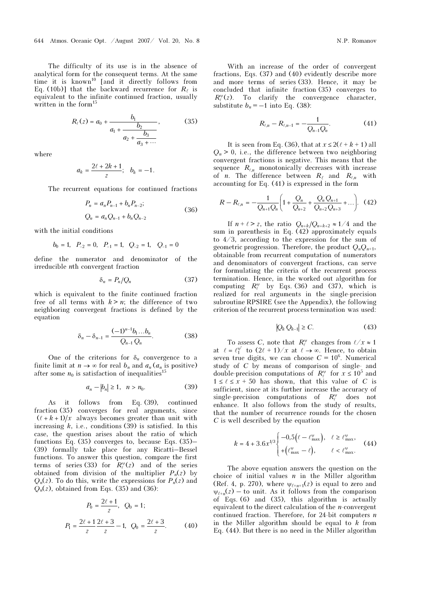The difficulty of its use is in the absence of analytical form for the consequent terms. At the same time it is known<sup>10</sup> [and it directly follows from Eq. (10b)] that the backward recurrence for  $R_{\ell}$  is equivalent to the infinite continued fraction, usually written in the form<sup>15</sup>

$$
R_{\ell}(z) = a_0 + \frac{b_1}{a_1 + \frac{b_2}{a_2 + \frac{b_3}{a_3 + \cdots}}},
$$
(35)

where

$$
a_k=\frac{2\ell+2k+1}{z};\quad b_k=-1.
$$

The recurrent equations for continued fractions  $\frac{1}{2}$  ons for

$$
P_n = a_n P_{n-1} + b_n P_{n-2};
$$
  
\n
$$
Q_n = a_n Q_{n-1} + b_n Q_{n-2}
$$
\n(36)

with the initial conditions

the initial conditions  

$$
b_0 = 1
$$
,  $P_{-2} = 0$ ,  $P_{-1} = 1$ ,  $Q_{-2} = 1$ ,  $Q_{-1} = 0$ 

define the numerator and denominator of the irreducible nth convergent fraction

$$
\delta_n = P_n / Q_n \tag{37}
$$

which is equivalent to the finite continued fraction free of all terms with  $k > n$ ; the difference of two neighboring convergent fractions is defined by the equation

$$
\delta_n - \delta_{n-1} = \frac{(-1)^{n-1}b_1...b_n}{Q_{n-1}Q_n}.
$$
 (38)

One of the criterions for  $\delta_n$  convergence to a finite limit at  $n \to \infty$  for real  $b_n$  and  $a_n$  ( $a_n$  is positive) after some  $n_0$  is satisfaction of inequalities<sup>15</sup>

$$
a_n - |b_n| \ge 1, \quad n > n_0. \tag{39}
$$

As it follows from Eq. (39), continued fraction (35) converges for real arguments, since  $(\ell + k + 1)/x$  always becomes greater than unit with increasing  $k$ , i.e., conditions (39) is satisfied. In this case, the question arises about the ratio of which functions Eq. (35) converges to, because Eqs. (35)– (39) formally take place for any Ricatti–Bessel functions. To answer this question, compare the first terms of series (33) for  $\overline{R_{\ell}^{\psi}}(z)$  and of the series obtained from division of the multiplier  $P_n(z)$  by  $Q_n(z)$ . To do this, write the expressions for  $P_n(z)$  and  $Q_n(z)$ , obtained from Eqs. (35) and (36):

$$
P_0 = \frac{2\ell + 1}{z}, \quad Q_0 = 1;
$$
  

$$
P_1 = \frac{2\ell + 1}{z} \frac{2\ell + 3}{z} - 1, \quad Q_0 = \frac{2\ell + 3}{z}.
$$
 (40)

With an increase of the order of convergent fractions, Eqs. (37) and (40) evidently describe more and more terms of series (33). Hence, it may be concluded that infinite fraction (35) converges to  $R_{\ell}^{\psi}(z)$ . To clarify the convergence character, substitute  $b_n = -1$  into Eq. (38):<br>  $R_{\ell,n} - R_{\ell,n-1} = -\frac{1}{Q_{n-1}Q}$ 

$$
R_{\ell,n} - R_{\ell,n-1} = -\frac{1}{Q_{n-1}Q_n}.\tag{41}
$$

It is seen from Eq. (36), that at  $x \leq 2(\ell + k + 1)$  all  $Q_n > 0$ , i.e., the difference between two neighboring convergent fractions is negative. This means that the sequence  $R_{\ell,n}$  monotonically decreases with increase of *n*. The difference between  $R_{\ell}$  and  $R_{\ell,n}$  with accounting for Eq. (41) is expressed in the form

$$
R - R_{\ell,n} = -\frac{1}{Q_{n+1}Q_n} \left( 1 + \frac{Q_n}{Q_{n+2}} + \frac{Q_n Q_{n+1}}{Q_{n+2}Q_{n+3}} + \ldots \right). \tag{42}
$$

If  $n + \ell > z$ , the ratio  $Q_{n+k}/Q_{n+k+2} \approx 1/4$  and the sum in parenthesis in Eq. (42) approximately equals to 4/3, according to the expression for the sum of geometric progression. Therefore, the product  $Q_nQ_{n+1}$ , obtainable from recurrent computation of numerators and denominators of convergent fractions, can serve for formulating the criteria of the recurrent process termination. Hence, in the worked out algorithm for computing  $R_{\ell}^{\psi}$  by Eqs. (36) and (37), which is realized for real arguments in the single-precision subroutine RPSIRE (see the Appendix), the following subroutine RPSTRE (see the Appendix), the following<br>criterion of the recurrent process termination was used:<br> $|Q_k Q_{k-1}| \ge C.$  (43)

$$
|Q_k Q_{k-1}| \ge C. \tag{43}
$$

To assess C, note that  $R_{\ell}^{\psi}$  changes from  $\ell/x \approx 1$ 10 assess C, note that  $R_{\ell}$  changes from  $\ell / \ell \approx 1$ <br>at  $\ell = \ell_1^{\nu'}$  to  $(2\ell + 1)/\ell$  at  $\ell \rightarrow \infty$ . Hence, to obtain seven true digits, we can choose  $C = 10^6$ . Numerical study of C by means of comparison of single- and double-precision computations of  $R^{\psi}$  for  $x \leq 10^5$  and  $1 \le \ell \le x + 50$  has shown, that this value of C is sufficient, since at its further increase the accuracy of single-precision computations of  $R_{\ell}^{\psi}$  does not enhance. It also follows from the study of results, that the number of recurrence rounds for the chosen C is well described by the equation

$$
k = 4 + 3.6x^{1/3} \begin{cases} -0.5(\ell - \ell_{\max}^{\nu}), & \ell \ge \ell_{\max}^{\nu}, \\ +(\ell_{\max}^{\nu} - \ell), & \ell < \ell_{\max}^{\nu}. \end{cases} (44)
$$

The above equation answers the question on the choice of initial values  $n$  in the Miller algorithm (Ref. 4, p. 270), where  $\psi_{\ell+n+1}(z)$  is equal to zero and  $\psi_{\ell+n}(z)$  – to unit. As it follows from the comparison of Eqs. (6) and (35), this algorithm is actually equivalent to the direct calculation of the  $n$ -convergent continued fraction. Therefore, for 24-bit computers  $n$ in the Miller algorithm should be equal to  $k$  from Eq. (44). But there is no need in the Miller algorithm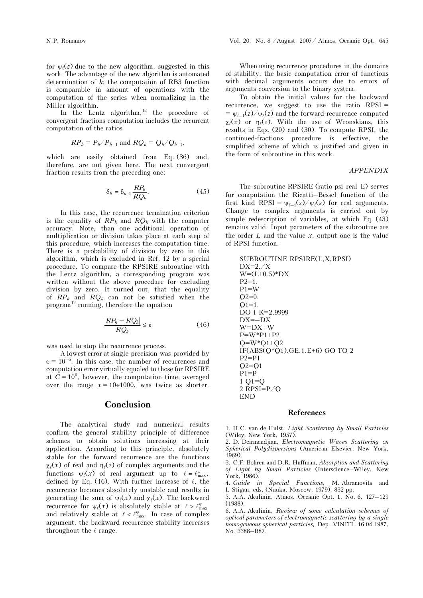for  $\psi_{\ell}(z)$  due to the new algorithm, suggested in this work. The advantage of the new algorithm is automated determination of  $k$ ; the computation of RB3 function is comparable in amount of operations with the computation of the series when normalizing in the Miller algorithm.

In the Lentz algorithm, $12$  the procedure of convergent fractions computation includes the recurrent computation of the ratios

$$
RP_k = P_k/P_{k-1}
$$
 and  $RQ_k = Q_k/Q_{k-1}$ ,

which are easily obtained from Eq. (36) and, therefore, are not given here. The next convergent fraction results from the preceding one:<br>  $\delta_k = \delta_{k-1} \frac{RP_k}{P_R}$ . (45)

$$
\delta_k = \delta_{k-1} \frac{RP_k}{RQ_k}.\tag{45}
$$

In this case, the recurrence termination criterion is the equality of  $RP_k$  and  $RQ_k$  with the computer accuracy. Note, than one additional operation of multiplication or division takes place at each step of this procedure, which increases the computation time. There is a probability of division by zero in this algorithm, which is excluded in Ref. 12 by a special procedure. To compare the RPSIRE subroutine with the Lentz algorithm, a corresponding program was written without the above procedure for excluding division by zero. It turned out, that the equality of  $RP_k$  and  $RQ_k$  can not be satisfied when the program<sup>12</sup> running, therefore the equation turned out,<br>n not be s<br>refore the economies  $\frac{Q_k - RQ_k}{\epsilon} \leq \epsilon$ 

$$
\frac{|RP_k - RQ_k|}{RQ_k} \le \varepsilon \tag{46}
$$

was used to stop the recurrence process.

A lowest error at single precision was provided by  $\varepsilon = 10^{-6}$ . In this case, the number of recurrences and computation error virtually equaled to those for RPSIRE at  $\hat{C} = 10^6$ , however, the computation time, averaged over the range  $x = 10 \div 1000$ , was twice as shorter.

### Conclusion

The analytical study and numerical results confirm the general stability principle of difference schemes to obtain solutions increasing at their application. According to this principle, absolutely stable for the forward recurrence are the functions  $\chi_{\ell}(x)$  of real and  $\eta_{\ell}(z)$  of complex arguments and the functions  $\psi_{\ell}(x)$  of real argument up to  $\ell = \ell_{\max}^{\psi}$ , defined by Eq. (16). With further increase of  $\ell$ , the recurrence becomes absolutely unstable and results in generating the sum of  $\psi_{\ell}(x)$  and  $\chi_{\ell}(x)$ . The backward recurrence for  $\psi_{\ell}(x)$  is absolutely stable at  $\ell > \ell_{\max}^{\psi}$ and relatively stable at  $\ell < \ell_{\rm max}^{\psi}.$  In case of complex argument, the backward recurrence stability increases throughout the  $\ell$  range.

When using recurrence procedures in the domains of stability, the basic computation error of functions with decimal arguments occurs due to errors of arguments conversion to the binary system.

To obtain the initial values for the backward recurrence, we suggest to use the ratio RPSI =  $=\psi_{\ell-1}(z)/\psi_{\ell}(z)$  and the forward-recurrence computed  $\chi$ (x) or  $\eta$ (z). With the use of Wronskians, this results in Eqs. (20) and (30). To compute RPSI, the continued-fractions procedure is effective, the simplified scheme of which is justified and given in the form of subroutine in this work.

#### APPENDIX

The subroutine RPSIRE (ratio psi real E) serves for computation the Ricatti–Bessel function of the first kind RPSI =  $\psi_{\ell-1}(z)/\psi_{\ell}(z)$  for real arguments. Change to complex arguments is carried out by simple redescription of variables, at which Eq. (43) remains valid. Input parameters of the subroutine are the order  $L$  and the value  $x$ , output one is the value of RPSI function.

```
SUBROUTINE RPSIRE(L,X,RPSI) 
DX=2./XW=(L+0.5)*DXP2=1.
P1 = WO2=0.
Q1 = 1.
DO 1 K=2,9999 
DX=-DXW=DX–W 
P=W^*P1+P2Q=W*Q1+Q2IF(ABS(Q*Q1).GE.1.E+6) GO TO 2 
P2 = P1Q2 = Q1P1 = P1 O<sub>1</sub>=O2 RPSI=P/Q 
END
```
#### References

1. H.C. van de Hulst, Light Scattering by Small Particles (Wiley, New York, 1957).

2. D. Deirmendjian, Electromagnetic Waves Scattering on Spherical Polydispersions (American Elsevier, New York, 1969).

3. C.F. Bohren and D.R. Huffman, Absorption and Scattering of Light by Small Particles (Interscience–Wiley, New York, 1986).

4. Guide in Special Functions, M. Abramovits and I. Stigan, eds. (Nauka, Moscow, 1979), 832 pp.

5. A.A. Akulinin, Atmos. Oceanic Opt. 1, No. 6, 127–129 (1988).

6. A.A. Akulinin, Review of some calculation schemes of optical parameters of electromagnetic scattering by a single homogeneous spherical particles, Dep. VINITI. 16.04.1987, No. 3388-B87.